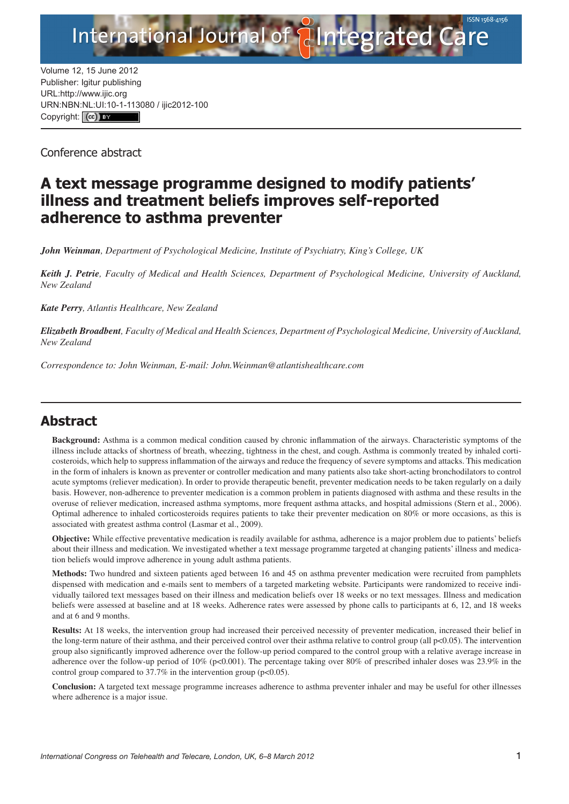

Volume 12, 15 June 2012 Publisher: Igitur publishing URL[:http://www.ijic.org](http://www.ijic.org) URN:NBN[:NL:UI:10-1-1130](http://creativecommons.org/licenses/by/3.0/)80 / ijic2012-100 Copyright: (cc)

Conference abstract

## **A text message programme designed to modify patients' illness and treatment beliefs improves self-reported adherence to asthma preventer**

*John Weinman, Department of Psychological Medicine, Institute of Psychiatry, King's College, UK*

*Keith J. Petrie, Faculty of Medical and Health Sciences, Department of Psychological Medicine, University of Auckland, New Zealand*

*Kate Perry, Atlantis Healthcare, New Zealand*

*Elizabeth Broadbent, Faculty of Medical and Health Sciences, Department of Psychological Medicine, University of Auckland, New Zealand*

*Correspondence to: John Weinman, E-mail: [John.Weinman@atlantishealthcare.com](mailto:John.Weinman@atlantishealthcare.com)*

## **Abstract**

**Background:** Asthma is a common medical condition caused by chronic inflammation of the airways. Characteristic symptoms of the illness include attacks of shortness of breath, wheezing, tightness in the chest, and cough. Asthma is commonly treated by inhaled corticosteroids, which help to suppress inflammation of the airways and reduce the frequency of severe symptoms and attacks. This medication in the form of inhalers is known as preventer or controller medication and many patients also take short-acting bronchodilators to control acute symptoms (reliever medication). In order to provide therapeutic benefit, preventer medication needs to be taken regularly on a daily basis. However, non-adherence to preventer medication is a common problem in patients diagnosed with asthma and these results in the overuse of reliever medication, increased asthma symptoms, more frequent asthma attacks, and hospital admissions (Stern et al., 2006). Optimal adherence to inhaled corticosteroids requires patients to take their preventer medication on 80% or more occasions, as this is associated with greatest asthma control (Lasmar et al., 2009).

**Objective:** While effective preventative medication is readily available for asthma, adherence is a major problem due to patients' beliefs about their illness and medication. We investigated whether a text message programme targeted at changing patients' illness and medication beliefs would improve adherence in young adult asthma patients.

**Methods:** Two hundred and sixteen patients aged between 16 and 45 on asthma preventer medication were recruited from pamphlets dispensed with medication and e-mails sent to members of a targeted marketing website. Participants were randomized to receive individually tailored text messages based on their illness and medication beliefs over 18 weeks or no text messages. Illness and medication beliefs were assessed at baseline and at 18 weeks. Adherence rates were assessed by phone calls to participants at 6, 12, and 18 weeks and at 6 and 9 months.

**Results:** At 18 weeks, the intervention group had increased their perceived necessity of preventer medication, increased their belief in the long-term nature of their asthma, and their perceived control over their asthma relative to control group (all p<0.05). The intervention group also significantly improved adherence over the follow-up period compared to the control group with a relative average increase in adherence over the follow-up period of 10% (p<0.001). The percentage taking over 80% of prescribed inhaler doses was 23.9% in the control group compared to 37.7% in the intervention group ( $p<0.05$ ).

**Conclusion:** A targeted text message programme increases adherence to asthma preventer inhaler and may be useful for other illnesses where adherence is a major issue.